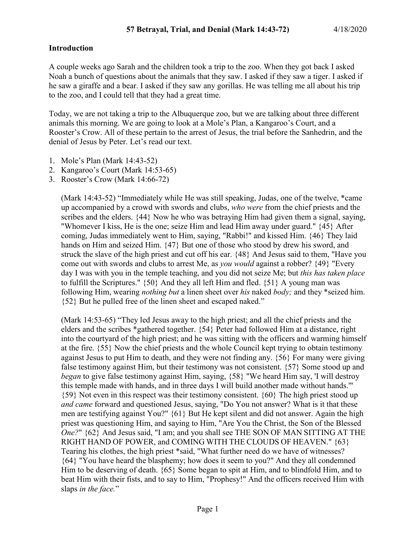### **Introduction**

A couple weeks ago Sarah and the children took a trip to the zoo. When they got back I asked Noah a bunch of questions about the animals that they saw. I asked if they saw a tiger. I asked if he saw a giraffe and a bear. I asked if they saw any gorillas. He was telling me all about his trip to the zoo, and I could tell that they had a great time.

Today, we are not taking a trip to the Albuquerque zoo, but we are talking about three different animals this morning. We are going to look at a Mole's Plan, a Kangaroo's Court, and a Rooster's Crow. All of these pertain to the arrest of Jesus, the trial before the Sanhedrin, and the denial of Jesus by Peter. Let's read our text.

- 1. Mole's Plan (Mark 14:43-52)
- 2. Kangaroo's Court (Mark 14:53-65)
- 3. Rooster's Crow (Mark 14:66-72)

(Mark 14:43-52) "Immediately while He was still speaking, Judas, one of the twelve, \*came up accompanied by a crowd with swords and clubs, *who were* from the chief priests and the scribes and the elders. {44} Now he who was betraying Him had given them a signal, saying, "Whomever I kiss, He is the one; seize Him and lead Him away under guard." {45} After coming, Judas immediately went to Him, saying, "Rabbi!" and kissed Him. {46} They laid hands on Him and seized Him. {47} But one of those who stood by drew his sword, and struck the slave of the high priest and cut off his ear. {48} And Jesus said to them, "Have you come out with swords and clubs to arrest Me, as *you would* against a robber? {49} "Every day I was with you in the temple teaching, and you did not seize Me; but *this has taken place* to fulfill the Scriptures." {50} And they all left Him and fled. {51} A young man was following Him, wearing *nothing but* a linen sheet over *his* naked *body;* and they \*seized him. {52} But he pulled free of the linen sheet and escaped naked."

(Mark 14:53-65) "They led Jesus away to the high priest; and all the chief priests and the elders and the scribes \*gathered together. {54} Peter had followed Him at a distance, right into the courtyard of the high priest; and he was sitting with the officers and warming himself at the fire. {55} Now the chief priests and the whole Council kept trying to obtain testimony against Jesus to put Him to death, and they were not finding any.  $\{56\}$  For many were giving false testimony against Him, but their testimony was not consistent. {57} Some stood up and *began* to give false testimony against Him, saying, {58} "We heard Him say, 'I will destroy this temple made with hands, and in three days I will build another made without hands.'" {59} Not even in this respect was their testimony consistent. {60} The high priest stood up *and came* forward and questioned Jesus, saying, "Do You not answer? What is it that these men are testifying against You?" {61} But He kept silent and did not answer. Again the high priest was questioning Him, and saying to Him, "Are You the Christ, the Son of the Blessed *One?*" {62} And Jesus said, "I am; and you shall see THE SON OF MAN SITTING AT THE RIGHT HAND OF POWER, and COMING WITH THE CLOUDS OF HEAVEN." {63} Tearing his clothes, the high priest \*said, "What further need do we have of witnesses? {64} "You have heard the blasphemy; how does it seem to you?" And they all condemned Him to be deserving of death. {65} Some began to spit at Him, and to blindfold Him, and to beat Him with their fists, and to say to Him, "Prophesy!" And the officers received Him with slaps *in the face.*"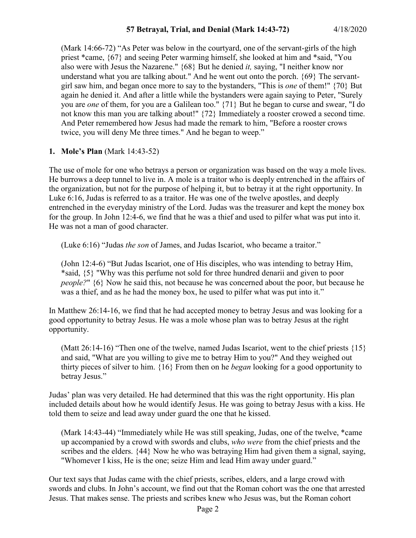(Mark 14:66-72) "As Peter was below in the courtyard, one of the servant-girls of the high priest \*came, {67} and seeing Peter warming himself, she looked at him and \*said, "You also were with Jesus the Nazarene." {68} But he denied *it,* saying, "I neither know nor understand what you are talking about." And he went out onto the porch. {69} The servantgirl saw him, and began once more to say to the bystanders, "This is *one* of them!" {70} But again he denied it. And after a little while the bystanders were again saying to Peter, "Surely you are *one* of them, for you are a Galilean too." {71} But he began to curse and swear, "I do not know this man you are talking about!" {72} Immediately a rooster crowed a second time. And Peter remembered how Jesus had made the remark to him, "Before a rooster crows twice, you will deny Me three times." And he began to weep."

#### **1. Mole's Plan** (Mark 14:43-52)

The use of mole for one who betrays a person or organization was based on the way a mole lives. He burrows a deep tunnel to live in. A mole is a traitor who is deeply entrenched in the affairs of the organization, but not for the purpose of helping it, but to betray it at the right opportunity. In Luke 6:16, Judas is referred to as a traitor. He was one of the twelve apostles, and deeply entrenched in the everyday ministry of the Lord. Judas was the treasurer and kept the money box for the group. In John 12:4-6, we find that he was a thief and used to pilfer what was put into it. He was not a man of good character.

(Luke 6:16) "Judas *the son* of James, and Judas Iscariot, who became a traitor."

(John 12:4-6) "But Judas Iscariot, one of His disciples, who was intending to betray Him, \*said, {5} "Why was this perfume not sold for three hundred denarii and given to poor *people?*" {6} Now he said this, not because he was concerned about the poor, but because he was a thief, and as he had the money box, he used to pilfer what was put into it."

In Matthew 26:14-16, we find that he had accepted money to betray Jesus and was looking for a good opportunity to betray Jesus. He was a mole whose plan was to betray Jesus at the right opportunity.

(Matt 26:14-16) "Then one of the twelve, named Judas Iscariot, went to the chief priests  $\{15\}$ and said, "What are you willing to give me to betray Him to you?" And they weighed out thirty pieces of silver to him. {16} From then on he *began* looking for a good opportunity to betray Jesus."

Judas' plan was very detailed. He had determined that this was the right opportunity. His plan included details about how he would identify Jesus. He was going to betray Jesus with a kiss. He told them to seize and lead away under guard the one that he kissed.

(Mark 14:43-44) "Immediately while He was still speaking, Judas, one of the twelve, \*came up accompanied by a crowd with swords and clubs, *who were* from the chief priests and the scribes and the elders. {44} Now he who was betraying Him had given them a signal, saying, "Whomever I kiss, He is the one; seize Him and lead Him away under guard."

Our text says that Judas came with the chief priests, scribes, elders, and a large crowd with swords and clubs. In John's account, we find out that the Roman cohort was the one that arrested Jesus. That makes sense. The priests and scribes knew who Jesus was, but the Roman cohort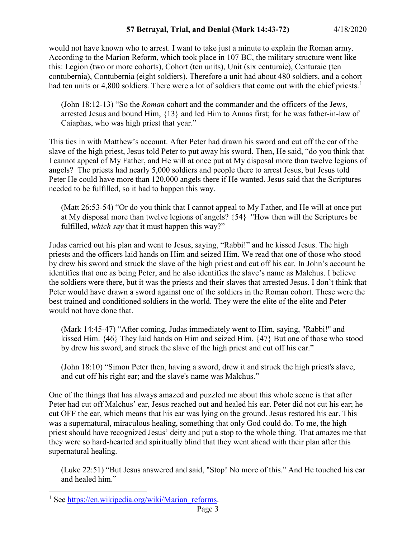would not have known who to arrest. I want to take just a minute to explain the Roman army. According to the Marion Reform, which took place in 107 BC, the military structure went like this: Legion (two or more cohorts), Cohort (ten units), Unit (six centuraie), Centuraie (ten contubernia), Contubernia (eight soldiers). Therefore a unit had about 480 soldiers, and a cohort had ten units or 4,800 soldiers. There were a lot of soldiers that come out with the chief priests.<sup>[1](#page-2-0)</sup>

(John 18:12-13) "So the *Roman* cohort and the commander and the officers of the Jews, arrested Jesus and bound Him, {13} and led Him to Annas first; for he was father-in-law of Caiaphas, who was high priest that year."

This ties in with Matthew's account. After Peter had drawn his sword and cut off the ear of the slave of the high priest, Jesus told Peter to put away his sword. Then, He said, "do you think that I cannot appeal of My Father, and He will at once put at My disposal more than twelve legions of angels? The priests had nearly 5,000 soldiers and people there to arrest Jesus, but Jesus told Peter He could have more than 120,000 angels there if He wanted. Jesus said that the Scriptures needed to be fulfilled, so it had to happen this way.

(Matt 26:53-54) "Or do you think that I cannot appeal to My Father, and He will at once put at My disposal more than twelve legions of angels? {54} "How then will the Scriptures be fulfilled, *which say* that it must happen this way?"

Judas carried out his plan and went to Jesus, saying, "Rabbi!" and he kissed Jesus. The high priests and the officers laid hands on Him and seized Him. We read that one of those who stood by drew his sword and struck the slave of the high priest and cut off his ear. In John's account he identifies that one as being Peter, and he also identifies the slave's name as Malchus. I believe the soldiers were there, but it was the priests and their slaves that arrested Jesus. I don't think that Peter would have drawn a sword against one of the soldiers in the Roman cohort. These were the best trained and conditioned soldiers in the world. They were the elite of the elite and Peter would not have done that.

(Mark 14:45-47) "After coming, Judas immediately went to Him, saying, "Rabbi!" and kissed Him. {46} They laid hands on Him and seized Him. {47} But one of those who stood by drew his sword, and struck the slave of the high priest and cut off his ear."

(John 18:10) "Simon Peter then, having a sword, drew it and struck the high priest's slave, and cut off his right ear; and the slave's name was Malchus."

One of the things that has always amazed and puzzled me about this whole scene is that after Peter had cut off Malchus' ear, Jesus reached out and healed his ear. Peter did not cut his ear; he cut OFF the ear, which means that his ear was lying on the ground. Jesus restored his ear. This was a supernatural, miraculous healing, something that only God could do. To me, the high priest should have recognized Jesus' deity and put a stop to the whole thing. That amazes me that they were so hard-hearted and spiritually blind that they went ahead with their plan after this supernatural healing.

(Luke 22:51) "But Jesus answered and said, "Stop! No more of this." And He touched his ear and healed him."

<span id="page-2-0"></span><sup>&</sup>lt;sup>1</sup> See [https://en.wikipedia.org/wiki/Marian\\_reforms.](https://en.wikipedia.org/wiki/Marian_reforms)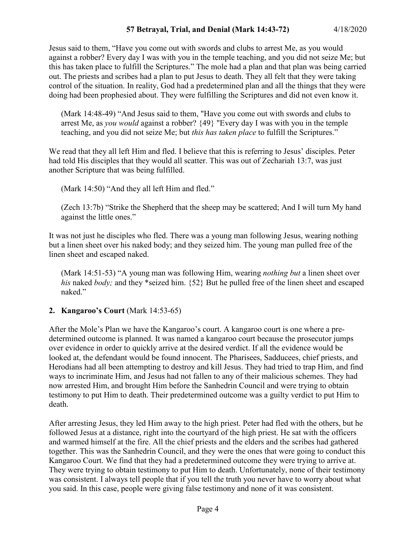Jesus said to them, "Have you come out with swords and clubs to arrest Me, as you would against a robber? Every day I was with you in the temple teaching, and you did not seize Me; but this has taken place to fulfill the Scriptures." The mole had a plan and that plan was being carried out. The priests and scribes had a plan to put Jesus to death. They all felt that they were taking control of the situation. In reality, God had a predetermined plan and all the things that they were doing had been prophesied about. They were fulfilling the Scriptures and did not even know it.

(Mark 14:48-49) "And Jesus said to them, "Have you come out with swords and clubs to arrest Me, as *you would* against a robber? {49} "Every day I was with you in the temple teaching, and you did not seize Me; but *this has taken place* to fulfill the Scriptures."

We read that they all left Him and fled. I believe that this is referring to Jesus' disciples. Peter had told His disciples that they would all scatter. This was out of Zechariah 13:7, was just another Scripture that was being fulfilled.

(Mark 14:50) "And they all left Him and fled."

(Zech 13:7b) "Strike the Shepherd that the sheep may be scattered; And I will turn My hand against the little ones."

It was not just he disciples who fled. There was a young man following Jesus, wearing nothing but a linen sheet over his naked body; and they seized him. The young man pulled free of the linen sheet and escaped naked.

(Mark 14:51-53) "A young man was following Him, wearing *nothing but* a linen sheet over *his* naked *body;* and they \*seized him. {52} But he pulled free of the linen sheet and escaped naked."

## **2. Kangaroo's Court** (Mark 14:53-65)

After the Mole's Plan we have the Kangaroo's court. A kangaroo court is one where a predetermined outcome is planned. It was named a kangaroo court because the prosecutor jumps over evidence in order to quickly arrive at the desired verdict. If all the evidence would be looked at, the defendant would be found innocent. The Pharisees, Sadducees, chief priests, and Herodians had all been attempting to destroy and kill Jesus. They had tried to trap Him, and find ways to incriminate Him, and Jesus had not fallen to any of their malicious schemes. They had now arrested Him, and brought Him before the Sanhedrin Council and were trying to obtain testimony to put Him to death. Their predetermined outcome was a guilty verdict to put Him to death.

After arresting Jesus, they led Him away to the high priest. Peter had fled with the others, but he followed Jesus at a distance, right into the courtyard of the high priest. He sat with the officers and warmed himself at the fire. All the chief priests and the elders and the scribes had gathered together. This was the Sanhedrin Council, and they were the ones that were going to conduct this Kangaroo Court. We find that they had a predetermined outcome they were trying to arrive at. They were trying to obtain testimony to put Him to death. Unfortunately, none of their testimony was consistent. I always tell people that if you tell the truth you never have to worry about what you said. In this case, people were giving false testimony and none of it was consistent.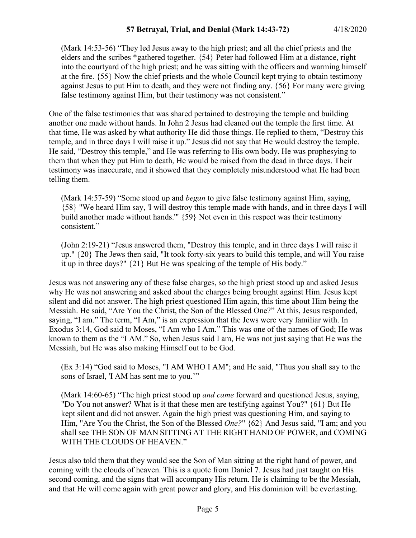(Mark 14:53-56) "They led Jesus away to the high priest; and all the chief priests and the elders and the scribes \*gathered together. {54} Peter had followed Him at a distance, right into the courtyard of the high priest; and he was sitting with the officers and warming himself at the fire. {55} Now the chief priests and the whole Council kept trying to obtain testimony against Jesus to put Him to death, and they were not finding any. {56} For many were giving false testimony against Him, but their testimony was not consistent."

One of the false testimonies that was shared pertained to destroying the temple and building another one made without hands. In John 2 Jesus had cleaned out the temple the first time. At that time, He was asked by what authority He did those things. He replied to them, "Destroy this temple, and in three days I will raise it up." Jesus did not say that He would destroy the temple. He said, "Destroy this temple," and He was referring to His own body. He was prophesying to them that when they put Him to death, He would be raised from the dead in three days. Their testimony was inaccurate, and it showed that they completely misunderstood what He had been telling them.

(Mark 14:57-59) "Some stood up and *began* to give false testimony against Him, saying, {58} "We heard Him say, 'I will destroy this temple made with hands, and in three days I will build another made without hands.'" {59} Not even in this respect was their testimony consistent."

(John 2:19-21) "Jesus answered them, "Destroy this temple, and in three days I will raise it up." {20} The Jews then said, "It took forty-six years to build this temple, and will You raise it up in three days?" {21} But He was speaking of the temple of His body."

Jesus was not answering any of these false charges, so the high priest stood up and asked Jesus why He was not answering and asked about the charges being brought against Him. Jesus kept silent and did not answer. The high priest questioned Him again, this time about Him being the Messiah. He said, "Are You the Christ, the Son of the Blessed One?" At this, Jesus responded, saying, "I am." The term, "I Am," is an expression that the Jews were very familiar with. In Exodus 3:14, God said to Moses, "I Am who I Am." This was one of the names of God; He was known to them as the "I AM." So, when Jesus said I am, He was not just saying that He was the Messiah, but He was also making Himself out to be God.

(Ex 3:14) "God said to Moses, "I AM WHO I AM"; and He said, "Thus you shall say to the sons of Israel, 'I AM has sent me to you."

(Mark 14:60-65) "The high priest stood up *and came* forward and questioned Jesus, saying, "Do You not answer? What is it that these men are testifying against You?" {61} But He kept silent and did not answer. Again the high priest was questioning Him, and saying to Him, "Are You the Christ, the Son of the Blessed *One?*" {62} And Jesus said, "I am; and you shall see THE SON OF MAN SITTING AT THE RIGHT HAND OF POWER, and COMING WITH THE CLOUDS OF HEAVEN."

Jesus also told them that they would see the Son of Man sitting at the right hand of power, and coming with the clouds of heaven. This is a quote from Daniel 7. Jesus had just taught on His second coming, and the signs that will accompany His return. He is claiming to be the Messiah, and that He will come again with great power and glory, and His dominion will be everlasting.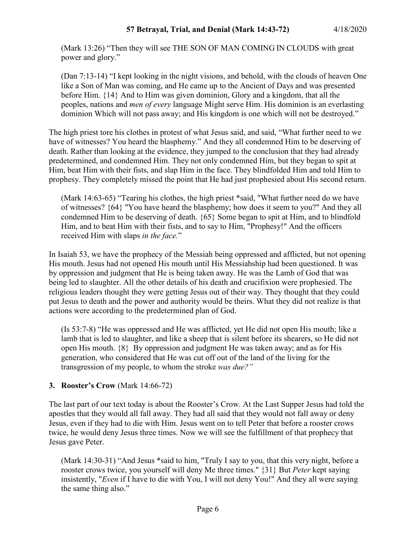(Mark 13:26) "Then they will see THE SON OF MAN COMING IN CLOUDS with great power and glory."

(Dan 7:13-14) "I kept looking in the night visions, and behold, with the clouds of heaven One like a Son of Man was coming, and He came up to the Ancient of Days and was presented before Him. {14} And to Him was given dominion, Glory and a kingdom, that all the peoples, nations and *men of every* language Might serve Him. His dominion is an everlasting dominion Which will not pass away; and His kingdom is one which will not be destroyed."

The high priest tore his clothes in protest of what Jesus said, and said, "What further need to we have of witnesses? You heard the blasphemy." And they all condemned Him to be deserving of death. Rather than looking at the evidence, they jumped to the conclusion that they had already predetermined, and condemned Him. They not only condemned Him, but they began to spit at Him, beat Him with their fists, and slap Him in the face. They blindfolded Him and told Him to prophesy. They completely missed the point that He had just prophesied about His second return.

(Mark 14:63-65) "Tearing his clothes, the high priest \*said, "What further need do we have of witnesses? {64} "You have heard the blasphemy; how does it seem to you?" And they all condemned Him to be deserving of death. {65} Some began to spit at Him, and to blindfold Him, and to beat Him with their fists, and to say to Him, "Prophesy!" And the officers received Him with slaps *in the face.*"

In Isaiah 53, we have the prophecy of the Messiah being oppressed and afflicted, but not opening His mouth. Jesus had not opened His mouth until His Messiahship had been questioned. It was by oppression and judgment that He is being taken away. He was the Lamb of God that was being led to slaughter. All the other details of his death and crucifixion were prophesied. The religious leaders thought they were getting Jesus out of their way. They thought that they could put Jesus to death and the power and authority would be theirs. What they did not realize is that actions were according to the predetermined plan of God.

(Is 53:7-8) "He was oppressed and He was afflicted, yet He did not open His mouth; like a lamb that is led to slaughter, and like a sheep that is silent before its shearers, so He did not open His mouth. {8} By oppression and judgment He was taken away; and as for His generation, who considered that He was cut off out of the land of the living for the transgression of my people, to whom the stroke *was due?"*

## **3. Rooster's Crow** (Mark 14:66-72)

The last part of our text today is about the Rooster's Crow. At the Last Supper Jesus had told the apostles that they would all fall away. They had all said that they would not fall away or deny Jesus, even if they had to die with Him. Jesus went on to tell Peter that before a rooster crows twice, he would deny Jesus three times. Now we will see the fulfillment of that prophecy that Jesus gave Peter.

(Mark 14:30-31) "And Jesus \*said to him, "Truly I say to you, that this very night, before a rooster crows twice, you yourself will deny Me three times." {31} But *Peter* kept saying insistently, "*Even* if I have to die with You, I will not deny You!" And they all were saying the same thing also."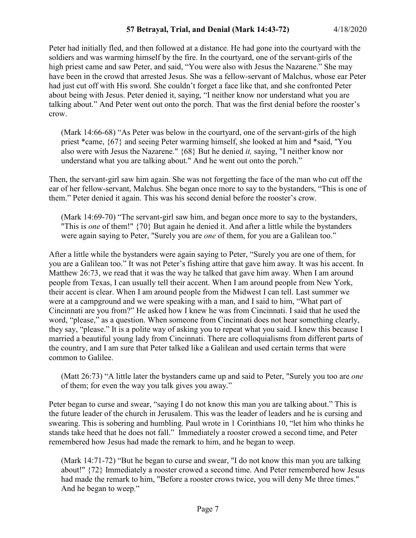Peter had initially fled, and then followed at a distance. He had gone into the courtyard with the soldiers and was warming himself by the fire. In the courtyard, one of the servant-girls of the high priest came and saw Peter, and said, "You were also with Jesus the Nazarene." She may have been in the crowd that arrested Jesus. She was a fellow-servant of Malchus, whose ear Peter had just cut off with His sword. She couldn't forget a face like that, and she confronted Peter about being with Jesus. Peter denied it, saying, "I neither know nor understand what you are talking about." And Peter went out onto the porch. That was the first denial before the rooster's crow.

(Mark 14:66-68) "As Peter was below in the courtyard, one of the servant-girls of the high priest \*came, {67} and seeing Peter warming himself, she looked at him and \*said, "You also were with Jesus the Nazarene." {68} But he denied *it,* saying, "I neither know nor understand what you are talking about." And he went out onto the porch."

Then, the servant-girl saw him again. She was not forgetting the face of the man who cut off the ear of her fellow-servant, Malchus. She began once more to say to the bystanders, "This is one of them." Peter denied it again. This was his second denial before the rooster's crow.

(Mark 14:69-70) "The servant-girl saw him, and began once more to say to the bystanders, "This is *one* of them!" {70} But again he denied it. And after a little while the bystanders were again saying to Peter, "Surely you are *one* of them, for you are a Galilean too."

After a little while the bystanders were again saying to Peter, "Surely you are one of them, for you are a Galilean too." It was not Peter's fishing attire that gave him away. It was his accent. In Matthew 26:73, we read that it was the way he talked that gave him away. When I am around people from Texas, I can usually tell their accent. When I am around people from New York, their accent is clear. When I am around people from the Midwest I can tell. Last summer we were at a campground and we were speaking with a man, and I said to him, "What part of Cincinnati are you from?" He asked how I knew he was from Cincinnati. I said that he used the word, "please," as a question. When someone from Cincinnati does not hear something clearly, they say, "please." It is a polite way of asking you to repeat what you said. I knew this because I married a beautiful young lady from Cincinnati. There are colloquialisms from different parts of the country, and I am sure that Peter talked like a Galilean and used certain terms that were common to Galilee.

(Matt 26:73) "A little later the bystanders came up and said to Peter, "Surely you too are *one* of them; for even the way you talk gives you away."

Peter began to curse and swear, "saying I do not know this man you are talking about." This is the future leader of the church in Jerusalem. This was the leader of leaders and he is cursing and swearing. This is sobering and humbling. Paul wrote in 1 Corinthians 10, "let him who thinks he stands take heed that he does not fall." Immediately a rooster crowed a second time, and Peter remembered how Jesus had made the remark to him, and he began to weep.

(Mark 14:71-72) "But he began to curse and swear, "I do not know this man you are talking about!" {72} Immediately a rooster crowed a second time. And Peter remembered how Jesus had made the remark to him, "Before a rooster crows twice, you will deny Me three times." And he began to weep."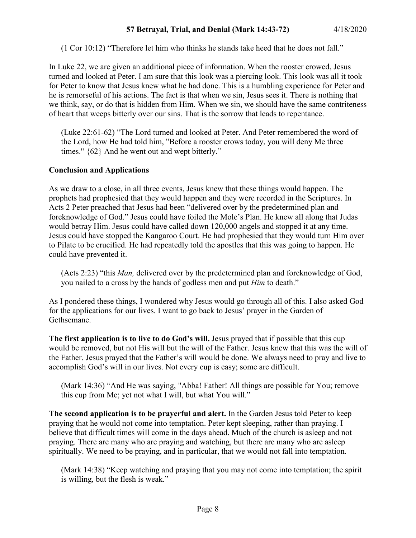(1 Cor 10:12) "Therefore let him who thinks he stands take heed that he does not fall."

In Luke 22, we are given an additional piece of information. When the rooster crowed, Jesus turned and looked at Peter. I am sure that this look was a piercing look. This look was all it took for Peter to know that Jesus knew what he had done. This is a humbling experience for Peter and he is remorseful of his actions. The fact is that when we sin, Jesus sees it. There is nothing that we think, say, or do that is hidden from Him. When we sin, we should have the same contriteness of heart that weeps bitterly over our sins. That is the sorrow that leads to repentance.

(Luke 22:61-62) "The Lord turned and looked at Peter. And Peter remembered the word of the Lord, how He had told him, "Before a rooster crows today, you will deny Me three times." {62} And he went out and wept bitterly."

#### **Conclusion and Applications**

As we draw to a close, in all three events, Jesus knew that these things would happen. The prophets had prophesied that they would happen and they were recorded in the Scriptures. In Acts 2 Peter preached that Jesus had been "delivered over by the predetermined plan and foreknowledge of God." Jesus could have foiled the Mole's Plan. He knew all along that Judas would betray Him. Jesus could have called down 120,000 angels and stopped it at any time. Jesus could have stopped the Kangaroo Court. He had prophesied that they would turn Him over to Pilate to be crucified. He had repeatedly told the apostles that this was going to happen. He could have prevented it.

(Acts 2:23) "this *Man,* delivered over by the predetermined plan and foreknowledge of God, you nailed to a cross by the hands of godless men and put *Him* to death."

As I pondered these things, I wondered why Jesus would go through all of this. I also asked God for the applications for our lives. I want to go back to Jesus' prayer in the Garden of Gethsemane.

**The first application is to live to do God's will.** Jesus prayed that if possible that this cup would be removed, but not His will but the will of the Father. Jesus knew that this was the will of the Father. Jesus prayed that the Father's will would be done. We always need to pray and live to accomplish God's will in our lives. Not every cup is easy; some are difficult.

(Mark 14:36) "And He was saying, "Abba! Father! All things are possible for You; remove this cup from Me; yet not what I will, but what You will."

**The second application is to be prayerful and alert.** In the Garden Jesus told Peter to keep praying that he would not come into temptation. Peter kept sleeping, rather than praying. I believe that difficult times will come in the days ahead. Much of the church is asleep and not praying. There are many who are praying and watching, but there are many who are asleep spiritually. We need to be praying, and in particular, that we would not fall into temptation.

(Mark 14:38) "Keep watching and praying that you may not come into temptation; the spirit is willing, but the flesh is weak."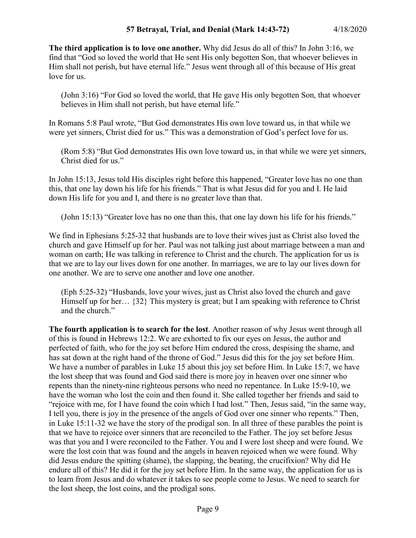**The third application is to love one another.** Why did Jesus do all of this? In John 3:16, we find that "God so loved the world that He sent His only begotten Son, that whoever believes in Him shall not perish, but have eternal life." Jesus went through all of this because of His great love for us.

(John 3:16) "For God so loved the world, that He gave His only begotten Son, that whoever believes in Him shall not perish, but have eternal life."

In Romans 5:8 Paul wrote, "But God demonstrates His own love toward us, in that while we were yet sinners, Christ died for us." This was a demonstration of God's perfect love for us.

(Rom 5:8) "But God demonstrates His own love toward us, in that while we were yet sinners, Christ died for us."

In John 15:13, Jesus told His disciples right before this happened, "Greater love has no one than this, that one lay down his life for his friends." That is what Jesus did for you and I. He laid down His life for you and I, and there is no greater love than that.

(John 15:13) "Greater love has no one than this, that one lay down his life for his friends."

We find in Ephesians 5:25-32 that husbands are to love their wives just as Christ also loved the church and gave Himself up for her. Paul was not talking just about marriage between a man and woman on earth; He was talking in reference to Christ and the church. The application for us is that we are to lay our lives down for one another. In marriages, we are to lay our lives down for one another. We are to serve one another and love one another.

(Eph 5:25-32) "Husbands, love your wives, just as Christ also loved the church and gave Himself up for her... {32} This mystery is great; but I am speaking with reference to Christ and the church."

**The fourth application is to search for the lost**. Another reason of why Jesus went through all of this is found in Hebrews 12:2. We are exhorted to fix our eyes on Jesus, the author and perfected of faith, who for the joy set before Him endured the cross, despising the shame, and has sat down at the right hand of the throne of God." Jesus did this for the joy set before Him. We have a number of parables in Luke 15 about this joy set before Him. In Luke 15:7, we have the lost sheep that was found and God said there is more joy in heaven over one sinner who repents than the ninety-nine righteous persons who need no repentance. In Luke 15:9-10, we have the woman who lost the coin and then found it. She called together her friends and said to "rejoice with me, for I have found the coin which I had lost." Then, Jesus said, "in the same way, I tell you, there is joy in the presence of the angels of God over one sinner who repents." Then, in Luke 15:11-32 we have the story of the prodigal son. In all three of these parables the point is that we have to rejoice over sinners that are reconciled to the Father. The joy set before Jesus was that you and I were reconciled to the Father. You and I were lost sheep and were found. We were the lost coin that was found and the angels in heaven rejoiced when we were found. Why did Jesus endure the spitting (shame), the slapping, the beating, the crucifixion? Why did He endure all of this? He did it for the joy set before Him. In the same way, the application for us is to learn from Jesus and do whatever it takes to see people come to Jesus. We need to search for the lost sheep, the lost coins, and the prodigal sons.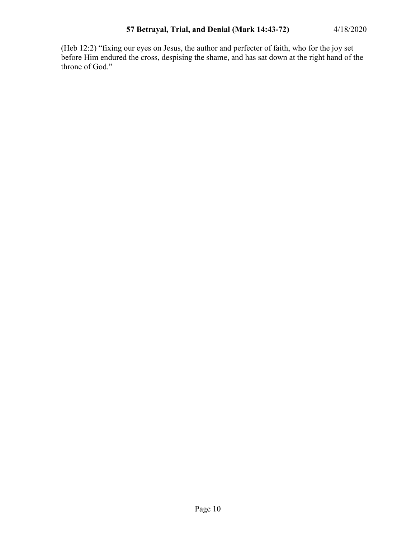(Heb 12:2) "fixing our eyes on Jesus, the author and perfecter of faith, who for the joy set before Him endured the cross, despising the shame, and has sat down at the right hand of the throne of God."